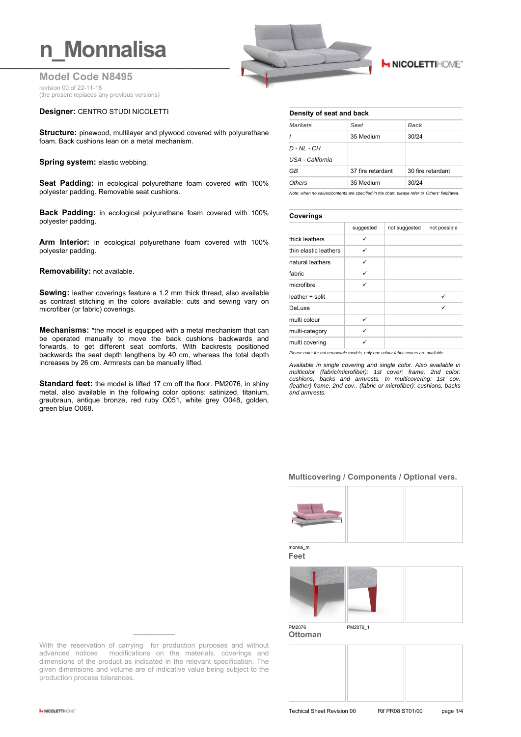## **n** Monnalisa

**Model Code N8495** revision 00 of 22-11-18 (the present replaces any previous versions)

#### **Designer:** CENTRO STUDI NICOLETTI

**Structure:** pinewood, multilayer and plywood covered with polyurethane foam. Back cushions lean on a metal mechanism.

**Spring system: elastic webbing.** 

**Seat Padding:** in ecological polyurethane foam covered with 100% polyester padding. Removable seat cushions.

**Back Padding:** in ecological polyurethane foam covered with 100% polyester padding.

**Arm Interior:** in ecological polyurethane foam covered with 100% polyester padding.

#### **Removability:** not available.

**Sewing:** leather coverings feature a 1.2 mm thick thread, also available as contrast stitching in the colors available; cuts and sewing vary on microfiber (or fabric) coverings.

**Mechanisms:** \*the model is equipped with a metal mechanism that can be operated manually to move the back cushions backwards and forwards, to get different seat comforts. With backrests positioned backwards the seat depth lengthens by 40 cm, whereas the total depth increases by 26 cm. Armrests can be manually lifted.

**Standard feet:** the model is lifted 17 cm off the floor. PM2076, in shiny metal, also available in the following color options: satinized, titanium, graubraun, antique bronze, red ruby O051, white grey O048, golden, green blue O068.



### **H NICOLETTIHOME**

#### **Density of seat and back**

| <b>Markets</b>   | Seat              | Back              |  |  |
|------------------|-------------------|-------------------|--|--|
| $\prime$         | 35 Medium         | 30/24             |  |  |
| D - NL - CH      |                   |                   |  |  |
| USA - California |                   |                   |  |  |
| GB               | 37 fire retardant | 30 fire retardant |  |  |
| Others           | 35 Medium         | 30/24             |  |  |
|                  |                   |                   |  |  |

*Note: when no values/contents are specified in the chart, please refer to 'Others' field/area.*

#### **Coverings**

|                       | suggested | not suggested | not possible |
|-----------------------|-----------|---------------|--------------|
| thick leathers        | ✓         |               |              |
| thin elastic leathers | ✓         |               |              |
| natural leathers      | ✓         |               |              |
| fabric                | ✓         |               |              |
| microfibre            | ✓         |               |              |
| leather + split       |           |               | ✓            |
| DeLuxe                |           |               | ✓            |
| multi colour          | ✓         |               |              |
| multi-category        | ✓         |               |              |
| multi covering        | ✓         |               |              |

*Please note: for not removable models, only one colour fabric covers are available.*

*Available in single covering and single color. Also available in multicolor (fabric/microfiber): 1st cover: frame, 2nd color: cushions, backs and armrests. In multicovering: 1st cov. (leather) frame, 2nd cov.. (fabric or microfiber): cushions, backs and armrests.*

#### **Multicovering / Components / Optional vers.**



monna\_m **Feet**



With the reservation of carrying for production purposes and without advanced notices modifications on the materials, coverings and dimensions of the product as indicated in the relevant specification. The given dimensions and volume are of indicative value being subject to the production process tolerances.

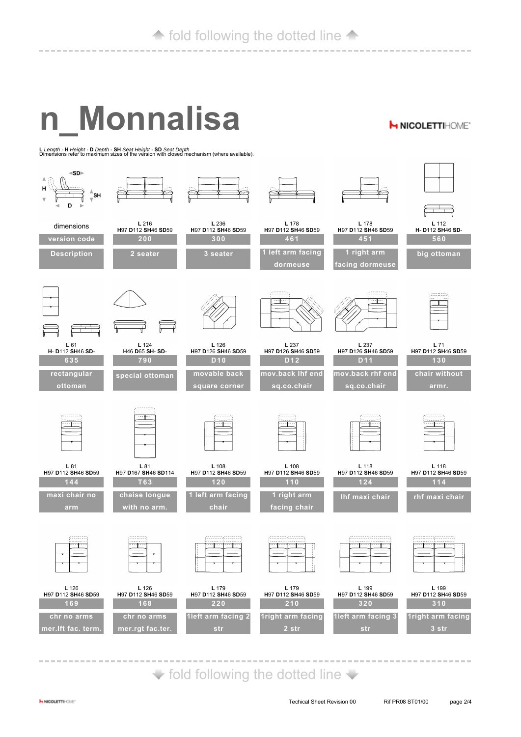# **n\_Monnalisa**

**<sup>L</sup>***Length -* **<sup>H</sup>***Height -* **<sup>D</sup>***Depth -* **SH** *Seat Height -* **SD** *Seat Depth* Dimensions refer to maximum sizes of the version with closed mechanism (where available).



 $\blacktriangleright$  fold following the dotted line  $\blacktriangleright$ 

**H NICOLETTIHOME'**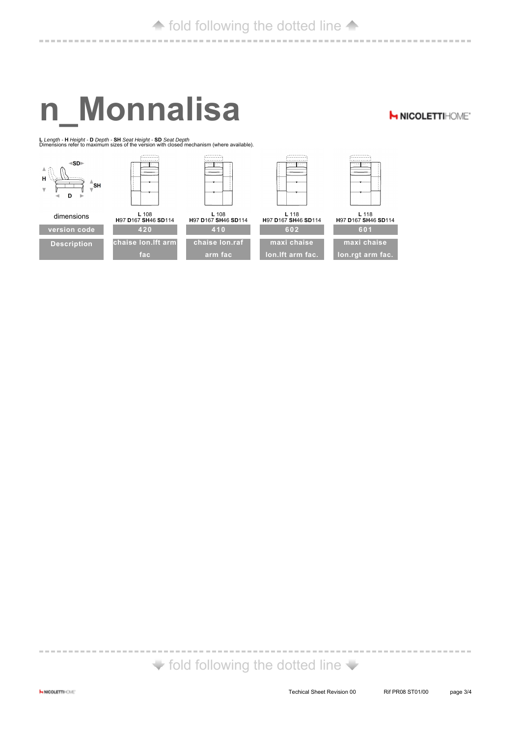# **n\_Monnalisa**

-------------------------------------

**H NICOLETTIHOME\*** 

**<sup>L</sup>***Length -* **<sup>H</sup>***Height -* **<sup>D</sup>***Depth -* **SH** *Seat Height -* **SD** *Seat Depth* Dimensions refer to maximum sizes of the version with closed mechanism (where available).



 $\blacktriangleright$  fold following the dotted line  $\blacktriangleright$ 

-----------------------------